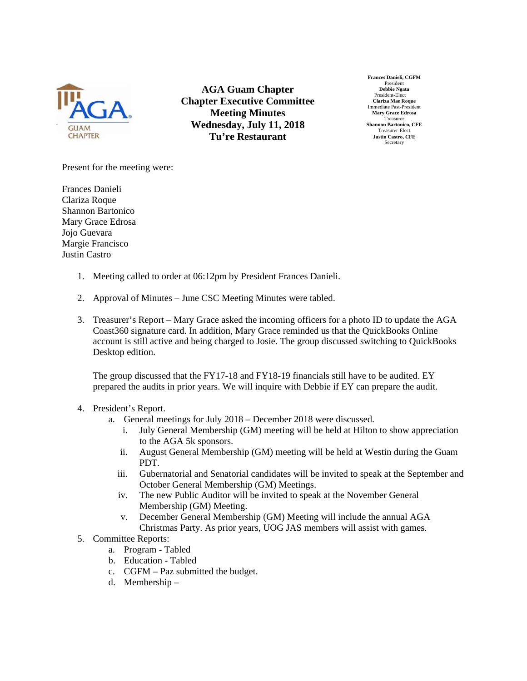

**AGA Guam Chapter Chapter Executive Committee Meeting Minutes Wednesday, July 11, 2018 Tu're Restaurant**

**Frances Danieli, CGFM**  President **Debbie Ngata**  President-Elect **Clariza Mae Roque**  Immediate Past-President **Mary Grace Edrosa**  Treasurer **Shannon Bartonico, CFE**  Treasurer-Elect **Justin Castro, CFE Secretary** 

Present for the meeting were:

- Frances Danieli Clariza Roque Shannon Bartonico Mary Grace Edrosa Jojo Guevara Margie Francisco Justin Castro
	- 1. Meeting called to order at 06:12pm by President Frances Danieli.
	- 2. Approval of Minutes June CSC Meeting Minutes were tabled.
	- 3. Treasurer's Report Mary Grace asked the incoming officers for a photo ID to update the AGA Coast360 signature card. In addition, Mary Grace reminded us that the QuickBooks Online account is still active and being charged to Josie. The group discussed switching to QuickBooks Desktop edition.

The group discussed that the FY17-18 and FY18-19 financials still have to be audited. EY prepared the audits in prior years. We will inquire with Debbie if EY can prepare the audit.

## 4. President's Report.

- a. General meetings for July 2018 December 2018 were discussed.
	- i. July General Membership (GM) meeting will be held at Hilton to show appreciation to the AGA 5k sponsors.
	- ii. August General Membership (GM) meeting will be held at Westin during the Guam PDT.
	- iii. Gubernatorial and Senatorial candidates will be invited to speak at the September and October General Membership (GM) Meetings.
	- iv. The new Public Auditor will be invited to speak at the November General Membership (GM) Meeting.
	- v. December General Membership (GM) Meeting will include the annual AGA Christmas Party. As prior years, UOG JAS members will assist with games.
- 5. Committee Reports:
	- a. Program Tabled
	- b. Education Tabled
	- c. CGFM Paz submitted the budget.
	- d. Membership –